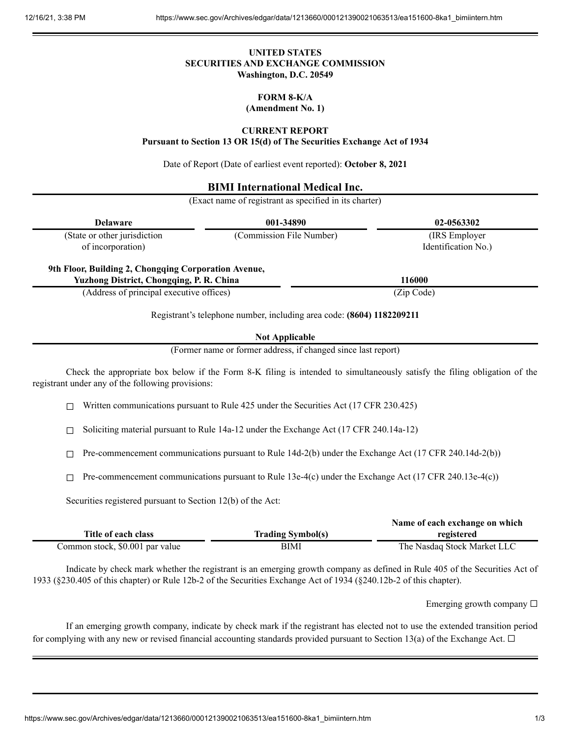## **UNITED STATES SECURITIES AND EXCHANGE COMMISSION Washington, D.C. 20549**

# **FORM 8-K/A**

### **(Amendment No. 1)**

#### **CURRENT REPORT**

**Pursuant to Section 13 OR 15(d) of The Securities Exchange Act of 1934**

Date of Report (Date of earliest event reported): **October 8, 2021**

## **BIMI International Medical Inc.**

(Exact name of registrant as specified in its charter)

| (Commission File Number) | (IRS Employer)<br>Identification No.)                                                                                                               |
|--------------------------|-----------------------------------------------------------------------------------------------------------------------------------------------------|
|                          |                                                                                                                                                     |
|                          | 116000                                                                                                                                              |
|                          | (Zip Code)                                                                                                                                          |
|                          | 9th Floor, Building 2, Chongqing Corporation Avenue,<br><b>Yuzhong District, Chongqing, P. R. China</b><br>(Address of principal executive offices) |

Registrant's telephone number, including area code: **(8604) 1182209211**

**Not Applicable**

(Former name or former address, if changed since last report)

Check the appropriate box below if the Form 8-K filing is intended to simultaneously satisfy the filing obligation of the registrant under any of the following provisions:

 $\Box$  Written communications pursuant to Rule 425 under the Securities Act (17 CFR 230.425)

☐ Soliciting material pursuant to Rule 14a-12 under the Exchange Act (17 CFR 240.14a-12)

 $\Box$  Pre-commencement communications pursuant to Rule 14d-2(b) under the Exchange Act (17 CFR 240.14d-2(b))

 $\Box$  Pre-commencement communications pursuant to Rule 13e-4(c) under the Exchange Act (17 CFR 240.13e-4(c))

Securities registered pursuant to Section 12(b) of the Act:

|                                 |                          | Name of each exchange on which |
|---------------------------------|--------------------------|--------------------------------|
| Title of each class             | <b>Trading Symbol(s)</b> | registered                     |
| Common stock, \$0.001 par value | BIMI                     | The Nasdaq Stock Market LLC    |

Indicate by check mark whether the registrant is an emerging growth company as defined in Rule 405 of the Securities Act of 1933 (§230.405 of this chapter) or Rule 12b-2 of the Securities Exchange Act of 1934 (§240.12b-2 of this chapter).

Emerging growth company ☐

If an emerging growth company, indicate by check mark if the registrant has elected not to use the extended transition period for complying with any new or revised financial accounting standards provided pursuant to Section 13(a) of the Exchange Act.  $\Box$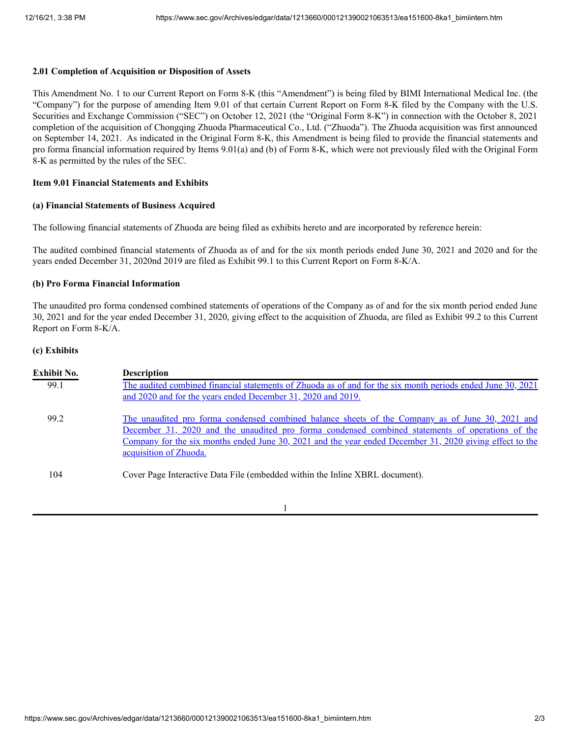### **2.01 Completion of Acquisition or Disposition of Assets**

This Amendment No. 1 to our Current Report on Form 8-K (this "Amendment") is being filed by BIMI International Medical Inc. (the "Company") for the purpose of amending Item 9.01 of that certain Current Report on Form 8-K filed by the Company with the U.S. Securities and Exchange Commission ("SEC") on October 12, 2021 (the "Original Form 8-K") in connection with the October 8, 2021 completion of the acquisition of Chongqing Zhuoda Pharmaceutical Co., Ltd. ("Zhuoda"). The Zhuoda acquisition was first announced on September 14, 2021. As indicated in the Original Form 8-K, this Amendment is being filed to provide the financial statements and pro forma financial information required by Items 9.01(a) and (b) of Form 8-K, which were not previously filed with the Original Form 8-K as permitted by the rules of the SEC.

## **Item 9.01 Financial Statements and Exhibits**

### **(a) Financial Statements of Business Acquired**

The following financial statements of Zhuoda are being filed as exhibits hereto and are incorporated by reference herein:

The audited combined financial statements of Zhuoda as of and for the six month periods ended June 30, 2021 and 2020 and for the years ended December 31, 2020nd 2019 are filed as Exhibit 99.1 to this Current Report on Form 8-K/A.

### **(b) Pro Forma Financial Information**

The unaudited pro forma condensed combined statements of operations of the Company as of and for the six month period ended June 30, 2021 and for the year ended December 31, 2020, giving effect to the acquisition of Zhuoda, are filed as Exhibit 99.2 to this Current Report on Form 8-K/A.

#### **(c) Exhibits**

| Exhibit No. | <b>Description</b>                                                                                                                                                                                                                                                                                                                         |
|-------------|--------------------------------------------------------------------------------------------------------------------------------------------------------------------------------------------------------------------------------------------------------------------------------------------------------------------------------------------|
| 99.1        | The audited combined financial statements of Zhuoda as of and for the six month periods ended June 30, 2021<br>and 2020 and for the years ended December 31, 2020 and 2019.                                                                                                                                                                |
| 99.2        | The unaudited pro forma condensed combined balance sheets of the Company as of June 30, 2021 and<br>December 31, 2020 and the unaudited pro forma condensed combined statements of operations of the<br>Company for the six months ended June 30, 2021 and the year ended December 31, 2020 giving effect to the<br>acquisition of Zhuoda. |
| 104         | Cover Page Interactive Data File (embedded within the Inline XBRL document).                                                                                                                                                                                                                                                               |

1